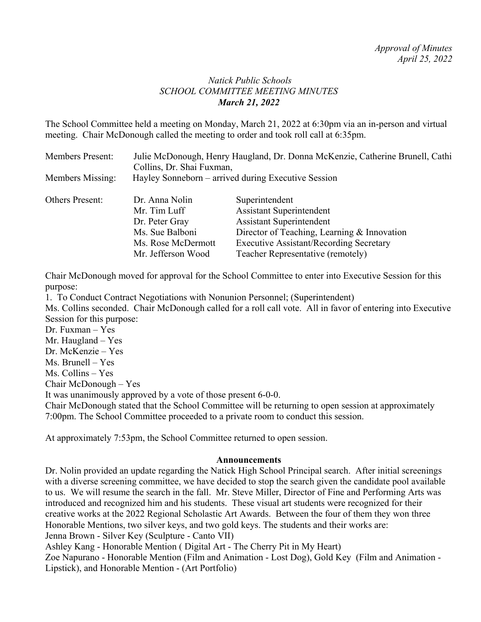# *Natick Public Schools SCHOOL COMMITTEE MEETING MINUTES March 21, 2022*

The School Committee held a meeting on Monday, March 21, 2022 at 6:30pm via an in-person and virtual meeting. Chair McDonough called the meeting to order and took roll call at 6:35pm.

| <b>Members Present:</b> | Julie McDonough, Henry Haugland, Dr. Donna McKenzie, Catherine Brunell, Cathi<br>Collins, Dr. Shai Fuxman, |                                                |
|-------------------------|------------------------------------------------------------------------------------------------------------|------------------------------------------------|
| Members Missing:        | Hayley Sonneborn – arrived during Executive Session                                                        |                                                |
| <b>Others Present:</b>  | Dr. Anna Nolin                                                                                             | Superintendent                                 |
|                         | Mr. Tim Luff                                                                                               | <b>Assistant Superintendent</b>                |
|                         | Dr. Peter Gray                                                                                             | <b>Assistant Superintendent</b>                |
|                         | Ms. Sue Balboni                                                                                            | Director of Teaching, Learning & Innovation    |
|                         | Ms. Rose McDermott                                                                                         | <b>Executive Assistant/Recording Secretary</b> |
|                         | Mr. Jefferson Wood                                                                                         | Teacher Representative (remotely)              |

Chair McDonough moved for approval for the School Committee to enter into Executive Session for this purpose:

1. To Conduct Contract Negotiations with Nonunion Personnel; (Superintendent)

Ms. Collins seconded. Chair McDonough called for a roll call vote. All in favor of entering into Executive Session for this purpose:

Dr. Fuxman – Yes Mr. Haugland – Yes Dr. McKenzie – Yes Ms. Brunell – Yes Ms. Collins – Yes Chair McDonough – Yes It was unanimously approved by a vote of those present 6-0-0. Chair McDonough stated that the School Committee will be returning to open session at approximately 7:00pm. The School Committee proceeded to a private room to conduct this session.

At approximately 7:53pm, the School Committee returned to open session.

#### **Announcements**

Dr. Nolin provided an update regarding the Natick High School Principal search. After initial screenings with a diverse screening committee, we have decided to stop the search given the candidate pool available to us. We will resume the search in the fall. Mr. Steve Miller, Director of Fine and Performing Arts was introduced and recognized him and his students. These visual art students were recognized for their creative works at the 2022 Regional Scholastic Art Awards. Between the four of them they won three Honorable Mentions, two silver keys, and two gold keys. The students and their works are: Jenna Brown - Silver Key (Sculpture - Canto VII) Ashley Kang - Honorable Mention ( Digital Art - The Cherry Pit in My Heart) Zoe Napurano - Honorable Mention (Film and Animation - Lost Dog), Gold Key (Film and Animation - Lipstick), and Honorable Mention - (Art Portfolio)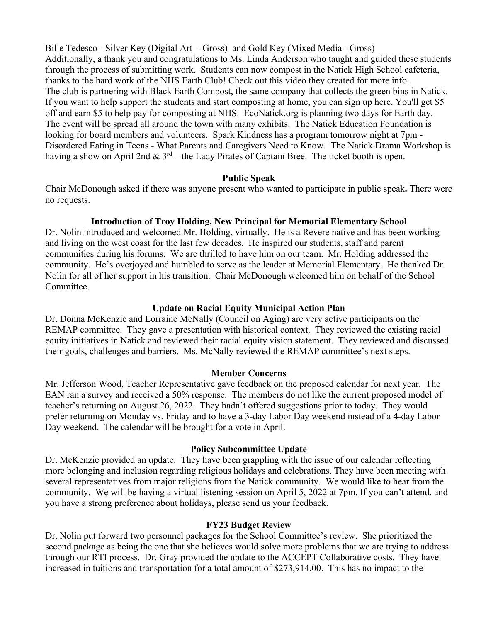Bille Tedesco - Silver Key (Digital Art - Gross) and Gold Key (Mixed Media - Gross) Additionally, a thank you and congratulations to Ms. Linda Anderson who taught and guided these students through the process of submitting work. Students can now compost in the Natick High School cafeteria, thanks to the hard work of the NHS Earth Club! Check out this video they created for more info. The club is partnering with Black Earth Compost, the same company that collects the green bins in Natick. If you want to help support the students and start composting at home, you can sign up here. You'll get \$5 off and earn \$5 to help pay for composting at NHS. EcoNatick.org is planning two days for Earth day. The event will be spread all around the town with many exhibits. The Natick Education Foundation is looking for board members and volunteers. Spark Kindness has a program tomorrow night at 7pm - Disordered Eating in Teens - What Parents and Caregivers Need to Know. The Natick Drama Workshop is having a show on April 2nd  $\& 3^{rd}$  – the Lady Pirates of Captain Bree. The ticket booth is open.

## **Public Speak**

Chair McDonough asked if there was anyone present who wanted to participate in public speak**.** There were no requests.

## **Introduction of Troy Holding, New Principal for Memorial Elementary School**

Dr. Nolin introduced and welcomed Mr. Holding, virtually. He is a Revere native and has been working and living on the west coast for the last few decades. He inspired our students, staff and parent communities during his forums. We are thrilled to have him on our team. Mr. Holding addressed the community. He's overjoyed and humbled to serve as the leader at Memorial Elementary. He thanked Dr. Nolin for all of her support in his transition. Chair McDonough welcomed him on behalf of the School Committee.

# **Update on Racial Equity Municipal Action Plan**

Dr. Donna McKenzie and Lorraine McNally (Council on Aging) are very active participants on the REMAP committee. They gave a presentation with historical context. They reviewed the existing racial equity initiatives in Natick and reviewed their racial equity vision statement. They reviewed and discussed their goals, challenges and barriers. Ms. McNally reviewed the REMAP committee's next steps.

## **Member Concerns**

Mr. Jefferson Wood, Teacher Representative gave feedback on the proposed calendar for next year. The EAN ran a survey and received a 50% response. The members do not like the current proposed model of teacher's returning on August 26, 2022. They hadn't offered suggestions prior to today. They would prefer returning on Monday vs. Friday and to have a 3-day Labor Day weekend instead of a 4-day Labor Day weekend. The calendar will be brought for a vote in April.

## **Policy Subcommittee Update**

Dr. McKenzie provided an update. They have been grappling with the issue of our calendar reflecting more belonging and inclusion regarding religious holidays and celebrations. They have been meeting with several representatives from major religions from the Natick community. We would like to hear from the community. We will be having a virtual listening session on April 5, 2022 at 7pm. If you can't attend, and you have a strong preference about holidays, please send us your feedback.

## **FY23 Budget Review**

Dr. Nolin put forward two personnel packages for the School Committee's review. She prioritized the second package as being the one that she believes would solve more problems that we are trying to address through our RTI process. Dr. Gray provided the update to the ACCEPT Collaborative costs. They have increased in tuitions and transportation for a total amount of \$273,914.00. This has no impact to the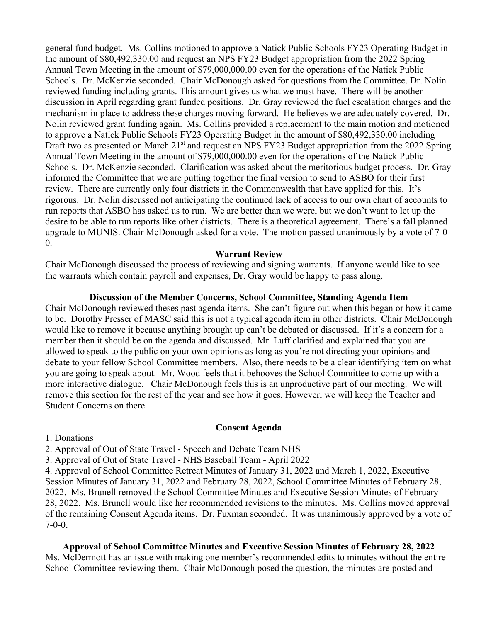general fund budget. Ms. Collins motioned to approve a Natick Public Schools FY23 Operating Budget in the amount of \$80,492,330.00 and request an NPS FY23 Budget appropriation from the 2022 Spring Annual Town Meeting in the amount of \$79,000,000.00 even for the operations of the Natick Public Schools. Dr. McKenzie seconded. Chair McDonough asked for questions from the Committee. Dr. Nolin reviewed funding including grants. This amount gives us what we must have. There will be another discussion in April regarding grant funded positions. Dr. Gray reviewed the fuel escalation charges and the mechanism in place to address these charges moving forward. He believes we are adequately covered. Dr. Nolin reviewed grant funding again. Ms. Collins provided a replacement to the main motion and motioned to approve a Natick Public Schools FY23 Operating Budget in the amount of \$80,492,330.00 including Draft two as presented on March 21<sup>st</sup> and request an NPS FY23 Budget appropriation from the 2022 Spring Annual Town Meeting in the amount of \$79,000,000.00 even for the operations of the Natick Public Schools. Dr. McKenzie seconded. Clarification was asked about the meritorious budget process. Dr. Gray informed the Committee that we are putting together the final version to send to ASBO for their first review. There are currently only four districts in the Commonwealth that have applied for this. It's rigorous. Dr. Nolin discussed not anticipating the continued lack of access to our own chart of accounts to run reports that ASBO has asked us to run. We are better than we were, but we don't want to let up the desire to be able to run reports like other districts. There is a theoretical agreement. There's a fall planned upgrade to MUNIS. Chair McDonough asked for a vote. The motion passed unanimously by a vote of 7-0-  $\overline{0}$ .

#### **Warrant Review**

Chair McDonough discussed the process of reviewing and signing warrants. If anyone would like to see the warrants which contain payroll and expenses, Dr. Gray would be happy to pass along.

#### **Discussion of the Member Concerns, School Committee, Standing Agenda Item**

Chair McDonough reviewed theses past agenda items. She can't figure out when this began or how it came to be. Dorothy Presser of MASC said this is not a typical agenda item in other districts. Chair McDonough would like to remove it because anything brought up can't be debated or discussed. If it's a concern for a member then it should be on the agenda and discussed. Mr. Luff clarified and explained that you are allowed to speak to the public on your own opinions as long as you're not directing your opinions and debate to your fellow School Committee members. Also, there needs to be a clear identifying item on what you are going to speak about. Mr. Wood feels that it behooves the School Committee to come up with a more interactive dialogue. Chair McDonough feels this is an unproductive part of our meeting. We will remove this section for the rest of the year and see how it goes. However, we will keep the Teacher and Student Concerns on there.

#### **Consent Agenda**

#### 1. Donations

2. Approval of Out of State Travel - Speech and Debate Team NHS

3. Approval of Out of State Travel - NHS Baseball Team - April 2022

4. Approval of School Committee Retreat Minutes of January 31, 2022 and March 1, 2022, Executive Session Minutes of January 31, 2022 and February 28, 2022, School Committee Minutes of February 28, 2022. Ms. Brunell removed the School Committee Minutes and Executive Session Minutes of February 28, 2022. Ms. Brunell would like her recommended revisions to the minutes. Ms. Collins moved approval of the remaining Consent Agenda items. Dr. Fuxman seconded. It was unanimously approved by a vote of 7-0-0.

**Approval of School Committee Minutes and Executive Session Minutes of February 28, 2022**  Ms. McDermott has an issue with making one member's recommended edits to minutes without the entire School Committee reviewing them. Chair McDonough posed the question, the minutes are posted and